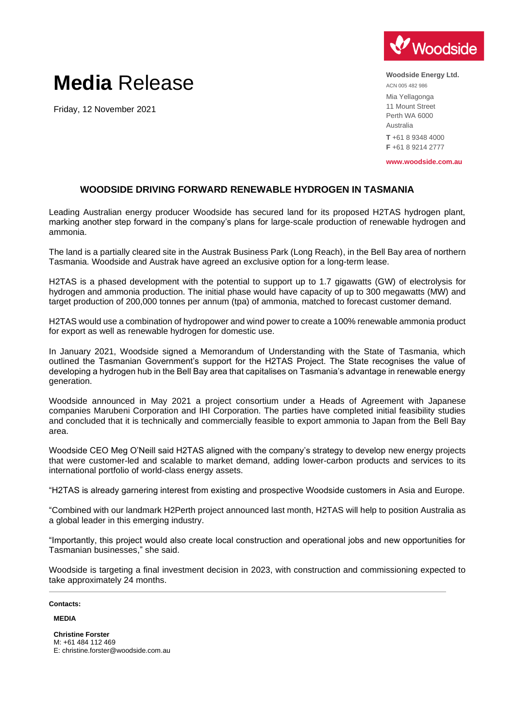

## **Media** Release

Friday, 12 November 2021

**Woodside Energy Ltd.** ACN 005 482 986 Mia Yellagonga 11 Mount Street Perth WA 6000 Australia **T** +61 8 9348 4000 **F** +61 8 9214 2777

**www.woodside.com.au**

## **WOODSIDE DRIVING FORWARD RENEWABLE HYDROGEN IN TASMANIA**

Leading Australian energy producer Woodside has secured land for its proposed H2TAS hydrogen plant, marking another step forward in the company's plans for large-scale production of renewable hydrogen and ammonia.

The land is a partially cleared site in the Austrak Business Park (Long Reach), in the Bell Bay area of northern Tasmania. Woodside and Austrak have agreed an exclusive option for a long-term lease.

H2TAS is a phased development with the potential to support up to 1.7 gigawatts (GW) of electrolysis for hydrogen and ammonia production. The initial phase would have capacity of up to 300 megawatts (MW) and target production of 200,000 tonnes per annum (tpa) of ammonia, matched to forecast customer demand.

H2TAS would use a combination of hydropower and wind power to create a 100% renewable ammonia product for export as well as renewable hydrogen for domestic use.

In January 2021, Woodside signed a Memorandum of Understanding with the State of Tasmania, which outlined the Tasmanian Government's support for the H2TAS Project. The State recognises the value of developing a hydrogen hub in the Bell Bay area that capitalises on Tasmania's advantage in renewable energy generation.

Woodside announced in May 2021 a project consortium under a Heads of Agreement with Japanese companies Marubeni Corporation and IHI Corporation. The parties have completed initial feasibility studies and concluded that it is technically and commercially feasible to export ammonia to Japan from the Bell Bay area.

Woodside CEO Meg O'Neill said H2TAS aligned with the company's strategy to develop new energy projects that were customer-led and scalable to market demand, adding lower-carbon products and services to its international portfolio of world-class energy assets.

"H2TAS is already garnering interest from existing and prospective Woodside customers in Asia and Europe.

"Combined with our landmark H2Perth project announced last month, H2TAS will help to position Australia as a global leader in this emerging industry.

"Importantly, this project would also create local construction and operational jobs and new opportunities for Tasmanian businesses," she said.

Woodside is targeting a final investment decision in 2023, with construction and commissioning expected to take approximately 24 months.

## **Contacts:**

**MEDIA**

**Christine Forster** M: +61 484 112 469 E: christine.forster@woodside.com.au